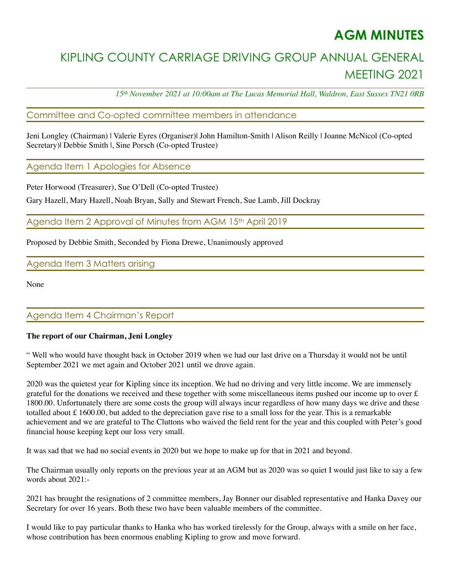## **AGM MINUTES**

# KIPLING COUNTY CARRIAGE DRIVING GROUP ANNUAL GENERAL MEETING 2021

*15th November 2021 at 10:00am at The Lucas Memorial Hall, Waldron, East Sussex TN21 0RB* 

### Committee and Co-opted committee members in attendance

Jeni Longley (Chairman) | Valerie Eyres (Organiser)| John Hamilton-Smith | Alison Reilly | Joanne McNicol (Co-opted Secretary)| Debbie Smith |, Sine Porsch (Co-opted Trustee)

Agenda Item 1 Apologies for Absence

Peter Horwood (Treasurer), Sue O'Dell (Co-opted Trustee)

Gary Hazell, Mary Hazell, Noah Bryan, Sally and Stewart French, Sue Lamb, Jill Dockray

Agenda Item 2 Approval of Minutes from AGM 15th April 2019

Proposed by Debbie Smith, Seconded by Fiona Drewe, Unanimously approved

Agenda Item 3 Matters arising

None

### Agenda Item 4 Chairman's Report

#### **The report of our Chairman, Jeni Longley**

" Well who would have thought back in October 2019 when we had our last drive on a Thursday it would not be until September 2021 we met again and October 2021 until we drove again.

2020 was the quietest year for Kipling since its inception. We had no driving and very little income. We are immensely grateful for the donations we received and these together with some miscellaneous items pushed our income up to over  $\pounds$ 1800.00. Unfortunately there are some costs the group will always incur regardless of how many days we drive and these totalled about £ 1600.00, but added to the depreciation gave rise to a small loss for the year. This is a remarkable achievement and we are grateful to The Cluttons who waived the field rent for the year and this coupled with Peter's good financial house keeping kept our loss very small.

It was sad that we had no social events in 2020 but we hope to make up for that in 2021 and beyond.

The Chairman usually only reports on the previous year at an AGM but as 2020 was so quiet I would just like to say a few words about 2021:-

2021 has brought the resignations of 2 committee members, Jay Bonner our disabled representative and Hanka Davey our Secretary for over 16 years. Both these two have been valuable members of the committee.

I would like to pay particular thanks to Hanka who has worked tirelessly for the Group, always with a smile on her face, whose contribution has been enormous enabling Kipling to grow and move forward.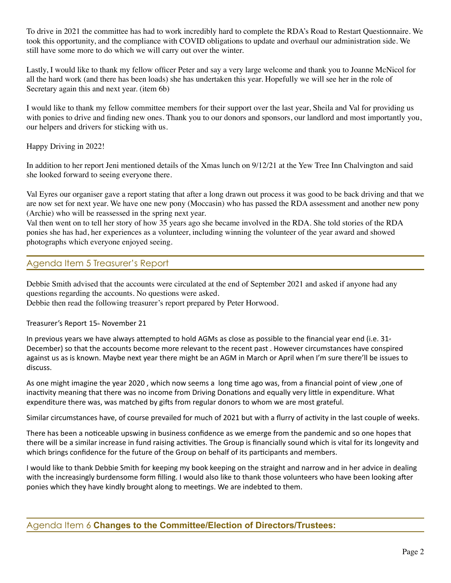To drive in 2021 the committee has had to work incredibly hard to complete the RDA's Road to Restart Questionnaire. We took this opportunity, and the compliance with COVID obligations to update and overhaul our administration side. We still have some more to do which we will carry out over the winter.

Lastly, I would like to thank my fellow officer Peter and say a very large welcome and thank you to Joanne McNicol for all the hard work (and there has been loads) she has undertaken this year. Hopefully we will see her in the role of Secretary again this and next year. (item 6b)

I would like to thank my fellow committee members for their support over the last year, Sheila and Val for providing us with ponies to drive and finding new ones. Thank you to our donors and sponsors, our landlord and most importantly you, our helpers and drivers for sticking with us.

Happy Driving in 2022!

In addition to her report Jeni mentioned details of the Xmas lunch on 9/12/21 at the Yew Tree Inn Chalvington and said she looked forward to seeing everyone there.

Val Eyres our organiser gave a report stating that after a long drawn out process it was good to be back driving and that we are now set for next year. We have one new pony (Moccasin) who has passed the RDA assessment and another new pony (Archie) who will be reassessed in the spring next year.

Val then went on to tell her story of how 35 years ago she became involved in the RDA. She told stories of the RDA ponies she has had, her experiences as a volunteer, including winning the volunteer of the year award and showed photographs which everyone enjoyed seeing.

## Agenda Item 5 Treasurer's Report

Debbie Smith advised that the accounts were circulated at the end of September 2021 and asked if anyone had any questions regarding the accounts. No questions were asked.

Debbie then read the following treasurer's report prepared by Peter Horwood.

Treasurer's Report 15th November 21

In previous years we have always attempted to hold AGMs as close as possible to the financial year end (i.e.  $31<sub>x</sub>$ December) so that the accounts become more relevant to the recent past . However circumstances have conspired against us as is known. Maybe next year there might be an AGM in March or April when I'm sure there'll be issues to discuss.

As one might imagine the year 2020 , which now seems a long time ago was, from a financial point of view ,one of inactivity meaning that there was no income from Driving Donations and equally very little in expenditure. What expenditure there was, was matched by gifts from regular donors to whom we are most grateful.

Similar circumstances have, of course prevailed for much of 2021 but with a flurry of activity in the last couple of weeks.

There has been a noticeable upswing in business confidence as we emerge from the pandemic and so one hopes that there will be a similar increase in fund raising activities. The Group is financially sound which is vital for its longevity and which brings confidence for the future of the Group on behalf of its participants and members.

I would like to thank Debbie Smith for keeping my book keeping on the straight and narrow and in her advice in dealing with the increasingly burdensome form filling. I would also like to thank those volunteers who have been looking after ponies which they have kindly brought along to meetings. We are indebted to them.